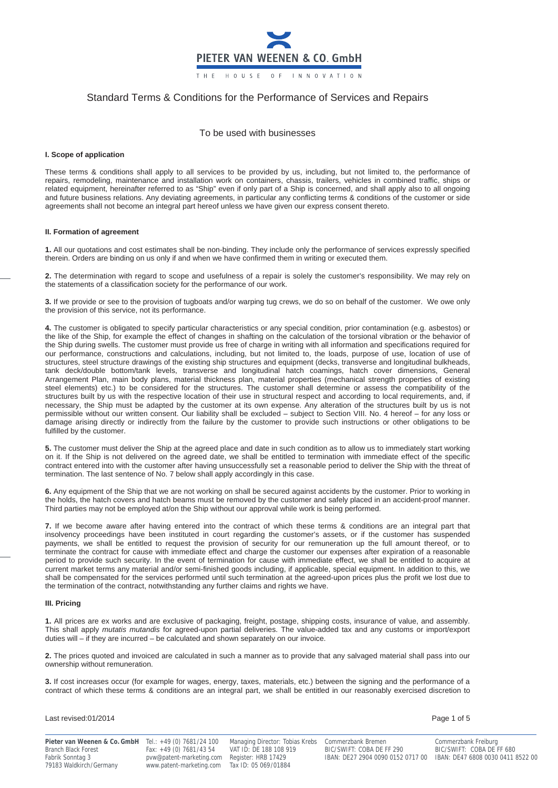

# Standard Terms & Conditions for the Performance of Services and Repairs

To be used with businesses

# **I. Scope of application**

These terms & conditions shall apply to all services to be provided by us, including, but not limited to, the performance of repairs, remodeling, maintenance and installation work on containers, chassis, trailers, vehicles in combined traffic, ships or related equipment, hereinafter referred to as "Ship" even if only part of a Ship is concerned, and shall apply also to all ongoing and future business relations. Any deviating agreements, in particular any conflicting terms & conditions of the customer or side agreements shall not become an integral part hereof unless we have given our express consent thereto.

# **II. Formation of agreement**

**1.** All our quotations and cost estimates shall be non-binding. They include only the performance of services expressly specified therein. Orders are binding on us only if and when we have confirmed them in writing or executed them.

**2.** The determination with regard to scope and usefulness of a repair is solely the customer's responsibility. We may rely on the statements of a classification society for the performance of our work.

**3.** If we provide or see to the provision of tugboats and/or warping tug crews, we do so on behalf of the customer. We owe only the provision of this service, not its performance.

**4.** The customer is obligated to specify particular characteristics or any special condition, prior contamination (e.g. asbestos) or the like of the Ship, for example the effect of changes in shafting on the calculation of the torsional vibration or the behavior of the Ship during swells. The customer must provide us free of charge in writing with all information and specifications required for our performance, constructions and calculations, including, but not limited to, the loads, purpose of use, location of use of structures, steel structure drawings of the existing ship structures and equipment (decks, transverse and longitudinal bulkheads, tank deck/double bottom/tank levels, transverse and longitudinal hatch coamings, hatch cover dimensions, General Arrangement Plan, main body plans, material thickness plan, material properties (mechanical strength properties of existing steel elements) etc.) to be considered for the structures. The customer shall determine or assess the compatibility of the structures built by us with the respective location of their use in structural respect and according to local requirements, and, if necessary, the Ship must be adapted by the customer at its own expense. Any alteration of the structures built by us is not permissible without our written consent. Our liability shall be excluded – subject to Section VIII. No. 4 hereof – for any loss or damage arising directly or indirectly from the failure by the customer to provide such instructions or other obligations to be fulfilled by the customer.

**5.** The customer must deliver the Ship at the agreed place and date in such condition as to allow us to immediately start working on it. If the Ship is not delivered on the agreed date, we shall be entitled to termination with immediate effect of the specific contract entered into with the customer after having unsuccessfully set a reasonable period to deliver the Ship with the threat of termination. The last sentence of No. 7 below shall apply accordingly in this case.

**6.** Any equipment of the Ship that we are not working on shall be secured against accidents by the customer. Prior to working in the holds, the hatch covers and hatch beams must be removed by the customer and safely placed in an accident-proof manner. Third parties may not be employed at/on the Ship without our approval while work is being performed.

**7.** If we become aware after having entered into the contract of which these terms & conditions are an integral part that insolvency proceedings have been instituted in court regarding the customer's assets, or if the customer has suspended payments, we shall be entitled to request the provision of security for our remuneration up the full amount thereof, or to terminate the contract for cause with immediate effect and charge the customer our expenses after expiration of a reasonable period to provide such security. In the event of termination for cause with immediate effect, we shall be entitled to acquire at current market terms any material and/or semi-finished goods including, if applicable, special equipment. In addition to this, we shall be compensated for the services performed until such termination at the agreed-upon prices plus the profit we lost due to the termination of the contract, notwithstanding any further claims and rights we have.

### **III. Pricing**

**1.** All prices are ex works and are exclusive of packaging, freight, postage, shipping costs, insurance of value, and assembly. This shall apply *mutatis mutandis* for agreed-upon partial deliveries. The value-added tax and any customs or import/export duties will – if they are incurred – be calculated and shown separately on our invoice.

**2.** The prices quoted and invoiced are calculated in such a manner as to provide that any salvaged material shall pass into our ownership without remuneration.

**3.** If cost increases occur (for example for wages, energy, taxes, materials, etc.) between the signing and the performance of a contract of which these terms & conditions are an integral part, we shall be entitled in our reasonably exercised discretion to

# Last revised:01/2014 **Page 1 of 5** Page 1 of 5

Fax: +49 (0) 7681/43 54 VAT ID: DE 188 108 9<br>bitch Black Forest Feature Feature FF 681 BIC-RF 480 BIC-RF 681 BIC-RF 680 BIC-FF 680 BIC-FF 680 BIC-FF 680 BI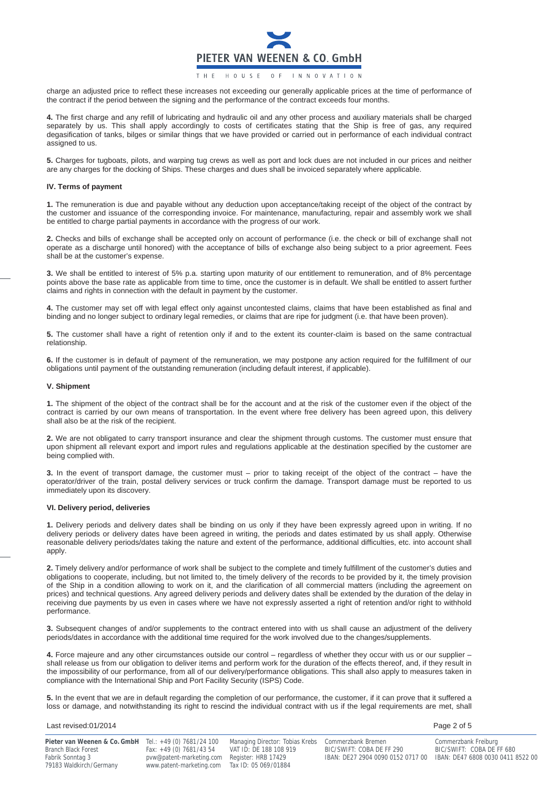

charge an adjusted price to reflect these increases not exceeding our generally applicable prices at the time of performance of the contract if the period between the signing and the performance of the contract exceeds four months.

**4.** The first charge and any refill of lubricating and hydraulic oil and any other process and auxiliary materials shall be charged separately by us. This shall apply accordingly to costs of certificates stating that the Ship is free of gas, any required degasification of tanks, bilges or similar things that we have provided or carried out in performance of each individual contract assigned to us.

**5.** Charges for tugboats, pilots, and warping tug crews as well as port and lock dues are not included in our prices and neither are any charges for the docking of Ships. These charges and dues shall be invoiced separately where applicable.

# **IV. Terms of payment**

**1.** The remuneration is due and payable without any deduction upon acceptance/taking receipt of the object of the contract by the customer and issuance of the corresponding invoice. For maintenance, manufacturing, repair and assembly work we shall be entitled to charge partial payments in accordance with the progress of our work.

**2.** Checks and bills of exchange shall be accepted only on account of performance (i.e. the check or bill of exchange shall not operate as a discharge until honored) with the acceptance of bills of exchange also being subject to a prior agreement. Fees shall be at the customer's expense.

**3.** We shall be entitled to interest of 5% p.a. starting upon maturity of our entitlement to remuneration, and of 8% percentage points above the base rate as applicable from time to time, once the customer is in default. We shall be entitled to assert further claims and rights in connection with the default in payment by the customer.

**4.** The customer may set off with legal effect only against uncontested claims, claims that have been established as final and binding and no longer subject to ordinary legal remedies, or claims that are ripe for judgment (i.e. that have been proven).

**5.** The customer shall have a right of retention only if and to the extent its counter-claim is based on the same contractual relationship.

**6.** If the customer is in default of payment of the remuneration, we may postpone any action required for the fulfillment of our obligations until payment of the outstanding remuneration (including default interest, if applicable).

# **V. Shipment**

**1.** The shipment of the object of the contract shall be for the account and at the risk of the customer even if the object of the contract is carried by our own means of transportation. In the event where free delivery has been agreed upon, this delivery shall also be at the risk of the recipient.

**2.** We are not obligated to carry transport insurance and clear the shipment through customs. The customer must ensure that upon shipment all relevant export and import rules and regulations applicable at the destination specified by the customer are being complied with.

**3.** In the event of transport damage, the customer must – prior to taking receipt of the object of the contract – have the operator/driver of the train, postal delivery services or truck confirm the damage. Transport damage must be reported to us immediately upon its discovery.

# **VI. Delivery period, deliveries**

**1.** Delivery periods and delivery dates shall be binding on us only if they have been expressly agreed upon in writing. If no delivery periods or delivery dates have been agreed in writing, the periods and dates estimated by us shall apply. Otherwise reasonable delivery periods/dates taking the nature and extent of the performance, additional difficulties, etc. into account shall apply.

**2.** Timely delivery and/or performance of work shall be subject to the complete and timely fulfillment of the customer's duties and obligations to cooperate, including, but not limited to, the timely delivery of the records to be provided by it, the timely provision of the Ship in a condition allowing to work on it, and the clarification of all commercial matters (including the agreement on prices) and technical questions. Any agreed delivery periods and delivery dates shall be extended by the duration of the delay in receiving due payments by us even in cases where we have not expressly asserted a right of retention and/or right to withhold performance.

**3.** Subsequent changes of and/or supplements to the contract entered into with us shall cause an adjustment of the delivery periods/dates in accordance with the additional time required for the work involved due to the changes/supplements.

**4.** Force majeure and any other circumstances outside our control – regardless of whether they occur with us or our supplier – shall release us from our obligation to deliver items and perform work for the duration of the effects thereof, and, if they result in the impossibility of our performance, from all of our delivery/performance obligations. This shall also apply to measures taken in compliance with the International Ship and Port Facility Security (ISPS) Code.

**5.** In the event that we are in default regarding the completion of our performance, the customer, if it can prove that it suffered a loss or damage, and notwithstanding its right to rescind the individual contract with us if the legal requirements are met, shall

# Last revised:01/2014 **Page 2 of 5** and 2 of 5

| <b>Pieter van Weenen &amp; Co. GmbH</b> Tel.: $+49$ (0) $7681/24$ 100<br>Branch Black Forest | Fax: +49 (0) 7681/43 54                                                                       | Managing Director: Tobias Krebs Commerzbank Bremen<br>VAT ID: DE 188 108 919 | BIC/SWIFT: COBA DE FF 290                                           | Commerzbank Freiburg<br>BIC/SWIFT: COBA DE FF 680 |
|----------------------------------------------------------------------------------------------|-----------------------------------------------------------------------------------------------|------------------------------------------------------------------------------|---------------------------------------------------------------------|---------------------------------------------------|
| Fabrik Sonntag 3<br>79183 Waldkirch/Germany                                                  | pvw@patent-marketing.com Register: HRB 17429<br>www.patent-marketing.com Tax ID: 05 069/01884 |                                                                              | IBAN: DE27 2904 0090 0152 0717 00 IBAN: DE47 6808 0030 0411 8522 00 |                                                   |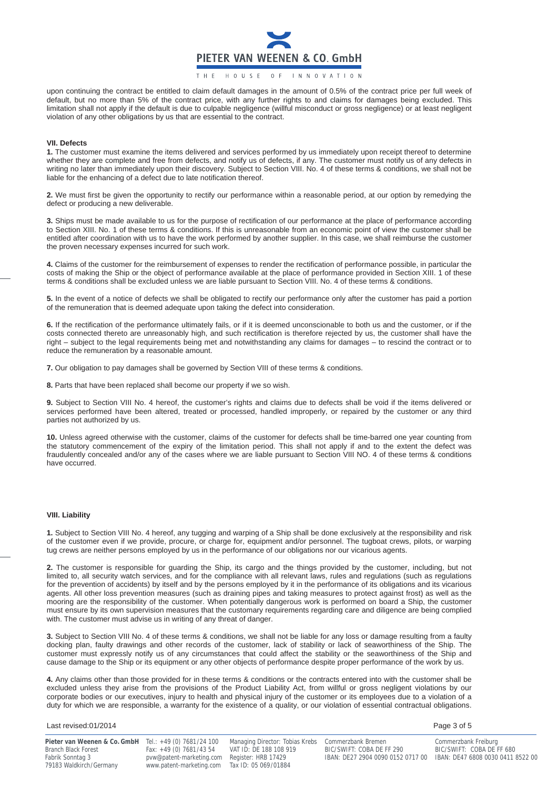

THE HOUSE OF INNOVATION

upon continuing the contract be entitled to claim default damages in the amount of 0.5% of the contract price per full week of default, but no more than 5% of the contract price, with any further rights to and claims for damages being excluded. This limitation shall not apply if the default is due to culpable negligence (willful misconduct or gross negligence) or at least negligent violation of any other obligations by us that are essential to the contract.

#### **VII. Defects**

**1.** The customer must examine the items delivered and services performed by us immediately upon receipt thereof to determine whether they are complete and free from defects, and notify us of defects, if any. The customer must notify us of any defects in writing no later than immediately upon their discovery. Subject to Section VIII. No. 4 of these terms & conditions, we shall not be liable for the enhancing of a defect due to late notification thereof.

**2.** We must first be given the opportunity to rectify our performance within a reasonable period, at our option by remedying the defect or producing a new deliverable.

**3.** Ships must be made available to us for the purpose of rectification of our performance at the place of performance according to Section XIII. No. 1 of these terms & conditions. If this is unreasonable from an economic point of view the customer shall be entitled after coordination with us to have the work performed by another supplier. In this case, we shall reimburse the customer the proven necessary expenses incurred for such work.

**4.** Claims of the customer for the reimbursement of expenses to render the rectification of performance possible, in particular the costs of making the Ship or the object of performance available at the place of performance provided in Section XIII. 1 of these terms & conditions shall be excluded unless we are liable pursuant to Section VIII. No. 4 of these terms & conditions.

**5.** In the event of a notice of defects we shall be obligated to rectify our performance only after the customer has paid a portion of the remuneration that is deemed adequate upon taking the defect into consideration.

**6.** If the rectification of the performance ultimately fails, or if it is deemed unconscionable to both us and the customer, or if the costs connected thereto are unreasonably high, and such rectification is therefore rejected by us, the customer shall have the right – subject to the legal requirements being met and notwithstanding any claims for damages – to rescind the contract or to reduce the remuneration by a reasonable amount.

**7.** Our obligation to pay damages shall be governed by Section VIII of these terms & conditions.

**8.** Parts that have been replaced shall become our property if we so wish.

**9.** Subject to Section VIII No. 4 hereof, the customer's rights and claims due to defects shall be void if the items delivered or services performed have been altered, treated or processed, handled improperly, or repaired by the customer or any third parties not authorized by us.

**10.** Unless agreed otherwise with the customer, claims of the customer for defects shall be time-barred one year counting from the statutory commencement of the expiry of the limitation period. This shall not apply if and to the extent the defect was fraudulently concealed and/or any of the cases where we are liable pursuant to Section VIII NO. 4 of these terms & conditions have occurred.

### **VIII. Liability**

**1.** Subject to Section VIII No. 4 hereof, any tugging and warping of a Ship shall be done exclusively at the responsibility and risk of the customer even if we provide, procure, or charge for, equipment and/or personnel. The tugboat crews, pilots, or warping tug crews are neither persons employed by us in the performance of our obligations nor our vicarious agents.

**2.** The customer is responsible for guarding the Ship, its cargo and the things provided by the customer, including, but not limited to, all security watch services, and for the compliance with all relevant laws, rules and regulations (such as regulations for the prevention of accidents) by itself and by the persons employed by it in the performance of its obligations and its vicarious agents. All other loss prevention measures (such as draining pipes and taking measures to protect against frost) as well as the mooring are the responsibility of the customer. When potentially dangerous work is performed on board a Ship, the customer must ensure by its own supervision measures that the customary requirements regarding care and diligence are being complied with. The customer must advise us in writing of any threat of danger.

**3.** Subject to Section VIII No. 4 of these terms & conditions, we shall not be liable for any loss or damage resulting from a faulty docking plan, faulty drawings and other records of the customer, lack of stability or lack of seaworthiness of the Ship. The customer must expressly notify us of any circumstances that could affect the stability or the seaworthiness of the Ship and cause damage to the Ship or its equipment or any other objects of performance despite proper performance of the work by us.

**4.** Any claims other than those provided for in these terms & conditions or the contracts entered into with the customer shall be excluded unless they arise from the provisions of the Product Liability Act, from willful or gross negligent violations by our corporate bodies or our executives, injury to health and physical injury of the customer or its employees due to a violation of a duty for which we are responsible, a warranty for the existence of a quality, or our violation of essential contractual obligations.

# Last revised:01/2014 Page 3 of 5

Branch Black Forest Fax: +49 (0) 7681/43 54 VAT ID: DE 188 108 9<br>Fabrik Sonntag 3 BIC/SWIFT: COMPORT BIC/SWIFT: COBA DE FREGISTER: CORPORT FIRE 17429 79183 Waldkirch/Germany www.patent-marketing.com Tax ID: 05 069/01884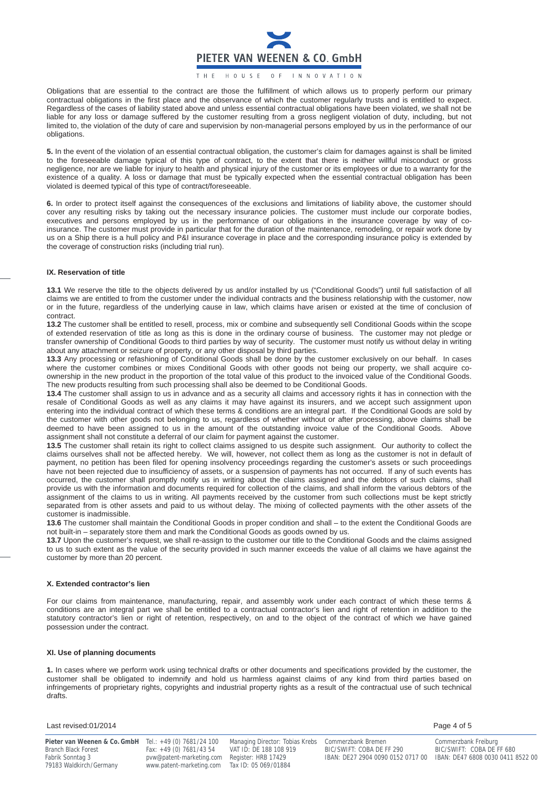

# HOUSE OF INNOVATION

Obligations that are essential to the contract are those the fulfillment of which allows us to properly perform our primary contractual obligations in the first place and the observance of which the customer regularly trusts and is entitled to expect. Regardless of the cases of liability stated above and unless essential contractual obligations have been violated, we shall not be liable for any loss or damage suffered by the customer resulting from a gross negligent violation of duty, including, but not limited to, the violation of the duty of care and supervision by non-managerial persons employed by us in the performance of our obligations.

**5.** In the event of the violation of an essential contractual obligation, the customer's claim for damages against is shall be limited to the foreseeable damage typical of this type of contract, to the extent that there is neither willful misconduct or gross negligence, nor are we liable for injury to health and physical injury of the customer or its employees or due to a warranty for the existence of a quality. A loss or damage that must be typically expected when the essential contractual obligation has been violated is deemed typical of this type of contract/foreseeable.

**6.** In order to protect itself against the consequences of the exclusions and limitations of liability above, the customer should cover any resulting risks by taking out the necessary insurance policies. The customer must include our corporate bodies, executives and persons employed by us in the performance of our obligations in the insurance coverage by way of coinsurance. The customer must provide in particular that for the duration of the maintenance, remodeling, or repair work done by us on a Ship there is a hull policy and P&I insurance coverage in place and the corresponding insurance policy is extended by the coverage of construction risks (including trial run).

#### **IX. Reservation of title**

**13.1** We reserve the title to the objects delivered by us and/or installed by us ("Conditional Goods") until full satisfaction of all claims we are entitled to from the customer under the individual contracts and the business relationship with the customer, now or in the future, regardless of the underlying cause in law, which claims have arisen or existed at the time of conclusion of contract.

**13.2** The customer shall be entitled to resell, process, mix or combine and subsequently sell Conditional Goods within the scope of extended reservation of title as long as this is done in the ordinary course of business. The customer may not pledge or transfer ownership of Conditional Goods to third parties by way of security. The customer must notify us without delay in writing about any attachment or seizure of property, or any other disposal by third parties.

**13.3** Any processing or refashioning of Conditional Goods shall be done by the customer exclusively on our behalf. In cases where the customer combines or mixes Conditional Goods with other goods not being our property, we shall acquire coownership in the new product in the proportion of the total value of this product to the invoiced value of the Conditional Goods. The new products resulting from such processing shall also be deemed to be Conditional Goods.

**13.4** The customer shall assign to us in advance and as a security all claims and accessory rights it has in connection with the resale of Conditional Goods as well as any claims it may have against its insurers, and we accept such assignment upon entering into the individual contract of which these terms & conditions are an integral part. If the Conditional Goods are sold by the customer with other goods not belonging to us, regardless of whether without or after processing, above claims shall be deemed to have been assigned to us in the amount of the outstanding invoice value of the Conditional Goods. Above assignment shall not constitute a deferral of our claim for payment against the customer.

**13.5** The customer shall retain its right to collect claims assigned to us despite such assignment. Our authority to collect the claims ourselves shall not be affected hereby. We will, however, not collect them as long as the customer is not in default of payment, no petition has been filed for opening insolvency proceedings regarding the customer's assets or such proceedings have not been rejected due to insufficiency of assets, or a suspension of payments has not occurred. If any of such events has occurred, the customer shall promptly notify us in writing about the claims assigned and the debtors of such claims, shall provide us with the information and documents required for collection of the claims, and shall inform the various debtors of the assignment of the claims to us in writing. All payments received by the customer from such collections must be kept strictly separated from is other assets and paid to us without delay. The mixing of collected payments with the other assets of the customer is inadmissible.

**13.6** The customer shall maintain the Conditional Goods in proper condition and shall – to the extent the Conditional Goods are not built-in – separately store them and mark the Conditional Goods as goods owned by us.

**13.7** Upon the customer's request, we shall re-assign to the customer our title to the Conditional Goods and the claims assigned to us to such extent as the value of the security provided in such manner exceeds the value of all claims we have against the customer by more than 20 percent.

### **X. Extended contractor's lien**

For our claims from maintenance, manufacturing, repair, and assembly work under each contract of which these terms & conditions are an integral part we shall be entitled to a contractual contractor's lien and right of retention in addition to the statutory contractor's lien or right of retention, respectively, on and to the object of the contract of which we have gained possession under the contract.

# **XI. Use of planning documents**

**1.** In cases where we perform work using technical drafts or other documents and specifications provided by the customer, the customer shall be obligated to indemnify and hold us harmless against claims of any kind from third parties based on infringements of proprietary rights, copyrights and industrial property rights as a result of the contractual use of such technical drafts.

Last revised:01/2014 **Page 4 of 5** Page 4 of 5

**Pieter van Weenen & Co. GmbH** Tel.: +49 (0) 7681/24 100 Managing Director: Tobias Krebs Commerzbank Bremen Commerzbank Freiburg<br>Branch Black Forest Fax: +49 (0) 7681/43 54 VAT ID: DE 188 108 919 BIC/SWIFT: COBA DE FF 290